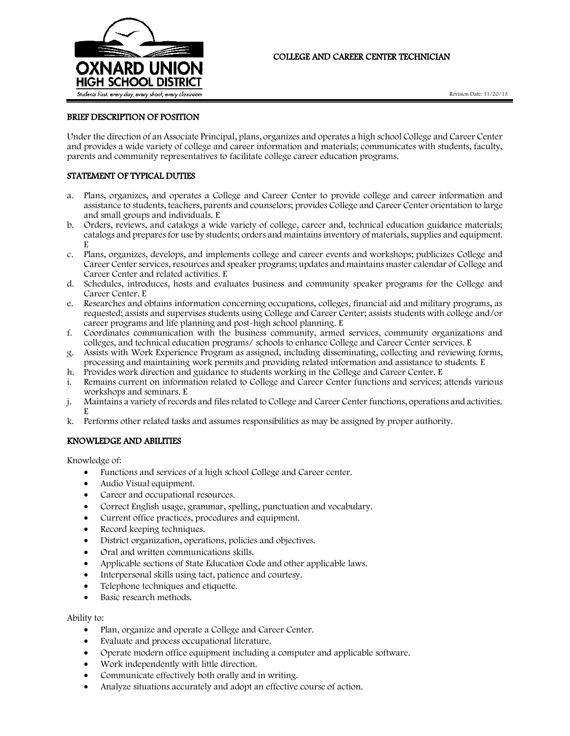

# COLLEGE AND CAREER CENTER TECHNICIAN

## BRIEF DESCRIPTION OF POSITION

Under the direction of an Associate Principal, plans, organizes and operates a high school College and Career Center and provides a wide variety of college and career information and materials; communicates with students, faculty, parents and community representatives to facilitate college career education programs.

## STATEMENT OF TYPICAL DUTIES

- a. Plans, organizes, and operates a College and Career Center to provide college and career information and assistance to students, teachers, parents and counselors; provides College and Career Center orientation to large and small groups and individuals. E
- b. Orders, reviews, and catalogs a wide variety of college, career and, technical education guidance materials; catalogs and prepares for use by students; orders and maintains inventory of materials, supplies and equipment. E
- c. Plans, organizes, develops, and implements college and career events and workshops; publicizes College and Career Center services, resources and speaker programs; updates and maintains master calendar of College and Career Center and related activities. E
- d. Schedules, introduces, hosts and evaluates business and community speaker programs for the College and Career Center. E
- e. Researches and obtains information concerning occupations, colleges, financial aid and military programs, as requested; assists and supervises students using College and Career Center; assists students with college and/or career programs and life planning and post-high school planning. E
- f. Coordinates communication with the business community, armed services, community organizations and colleges, and technical education programs/ schools to enhance College and Career Center services. E
- g. Assists with Work Experience Program as assigned, including disseminating, collecting and reviewing forms, processing and maintaining work permits and providing related information and assistance to students. E
- h. Provides work direction and guidance to students working in the College and Career Center. E
- i. Remains current on information related to College and Career Center functions and services; attends various workshops and seminars. E
- j. Maintains a variety of records and files related to College and Career Center functions, operations and activities. E
- k. Performs other related tasks and assumes responsibilities as may be assigned by proper authority.

## KNOWLEDGE AND ABILITIES

Knowledge of:

- Functions and services of a high school College and Career center.
- Audio Visual equipment.
- Career and occupational resources.
- Correct English usage, grammar, spelling, punctuation and vocabulary.
- Current office practices, procedures and equipment.
- Record keeping techniques.
- District organization, operations, policies and objectives.
- Oral and written communications skills.
- Applicable sections of State Education Code and other applicable laws.
- Interpersonal skills using tact, patience and courtesy.
- Telephone techniques and etiquette.
- Basic research methods.

#### Ability to:

- Plan, organize and operate a College and Career Center.
- Evaluate and process occupational literature.
- Operate modern office equipment including a computer and applicable software.
- Work independently with little direction.
- Communicate effectively both orally and in writing.
- Analyze situations accurately and adopt an effective course of action.